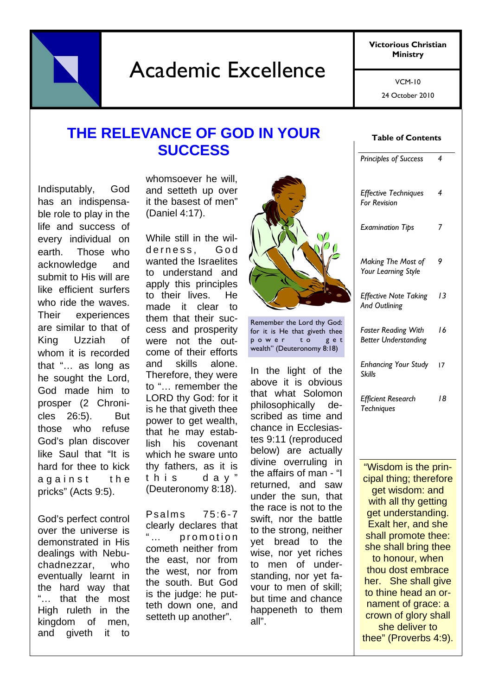Academic Excellence

**Victorious Christian Ministry** 

> 24 October 2010 VCM-10

## **THE RELEVANCE OF GOD IN YOUR SUCCESS**

Indisputably, God has an indispensable role to play in the life and success of every individual on earth. Those who acknowledge and submit to His will are like efficient surfers who ride the waves. Their experiences are similar to that of King Uzziah of whom it is recorded that "… as long as he sought the Lord, God made him to prosper (2 Chronicles 26:5). But those who refuse God's plan discover like Saul that "It is hard for thee to kick against the pricks" (Acts 9:5).

God's perfect control over the universe is demonstrated in His dealings with Nebuchadnezzar, who eventually learnt in the hard way that "… that the most High ruleth in the kingdom of men, and giveth it to

whomsoever he will, and setteth up over it the basest of men" (Daniel 4:17).

While still in the wilderness. God wanted the Israelites to understand and apply this principles to their lives. He made it clear to them that their success and prosperity were not the outcome of their efforts and skills alone. Therefore, they were to "… remember the LORD thy God: for it is he that giveth thee power to get wealth, that he may establish his covenant which he sware unto thy fathers, as it is this day" (Deuteronomy 8:18).

Psalms 75:6-7 clearly declares that "... promotion cometh neither from the east, nor from the west, nor from the south. But God is the judge: he putteth down one, and setteth up another".



Remember the Lord thy God: for it is He that giveth thee power to get wealth" (Deuteronomy 8:18)

In the light of the above it is obvious that what Solomon philosophically described as time and chance in Ecclesiastes 9:11 (reproduced below) are actually divine overruling in the affairs of man - "I returned, and saw under the sun, that the race is not to the swift, nor the battle to the strong, neither yet bread to the wise, nor yet riches to men of understanding, nor yet favour to men of skill; but time and chance happeneth to them all".

#### **Table of Contents**

| <b>Principles of Success</b>                              | 4  |
|-----------------------------------------------------------|----|
| <b>Effective Techniques</b><br><b>For Revision</b>        | 4  |
| <b>Examination Tips</b>                                   | 7  |
| Making The Most of<br>Your Learning Style                 | 9  |
| <b>Effective Note Taking</b><br>And Outlining             | 13 |
| <b>Faster Reading With</b><br><b>Better Understanding</b> | 16 |
| <b>Enhancing Your Study</b><br><b>Skills</b>              | 17 |
| <b>Efficient Research</b><br>Techniques                   | 18 |
|                                                           |    |

"Wisdom is the principal thing; therefore get wisdom: and with all thy getting get understanding. Exalt her, and she shall promote thee: she shall bring thee to honour, when thou dost embrace her. She shall give to thine head an ornament of grace: a crown of glory shall she deliver to thee" (Proverbs 4:9).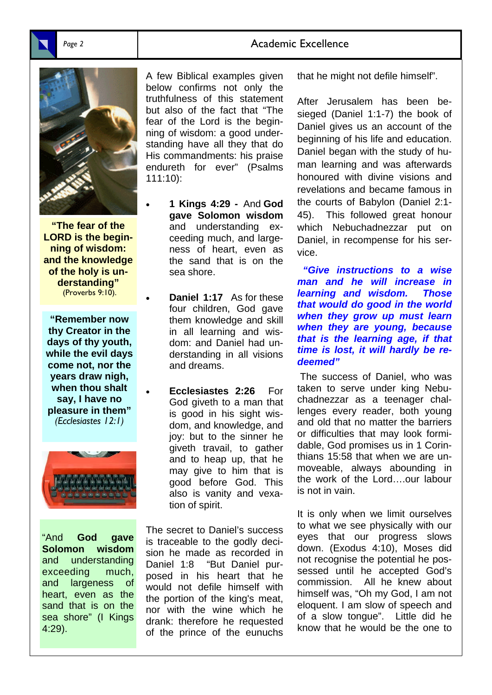### Page 2 **Academic Excellence**



**"The fear of the LORD is the beginning of wisdom: and the knowledge of the holy is understanding"**  (Proverbs 9:10).

**"Remember now thy Creator in the days of thy youth, while the evil days come not, nor the years draw nigh, when thou shalt say, I have no pleasure in them"**  *(Ecclesiastes 12:1)* 



"And **God gave Solomon wisdom** and understanding exceeding much, and largeness of heart, even as the sand that is on the sea shore" (I Kings 4:29).

A few Biblical examples given below confirms not only the truthfulness of this statement but also of the fact that "The fear of the Lord is the beginning of wisdom: a good understanding have all they that do His commandments: his praise endureth for ever" (Psalms 111:10):

- **1 Kings 4:29 -** And **God gave Solomon wisdom** and understanding exceeding much, and largeness of heart, even as the sand that is on the sea shore.
	- **Daniel 1:17** As for these four children, God gave them knowledge and skill in all learning and wisdom: and Daniel had understanding in all visions and dreams.
- **Ecclesiastes 2:26** For God giveth to a man that is good in his sight wisdom, and knowledge, and joy: but to the sinner he giveth travail, to gather and to heap up, that he may give to him that is good before God. This also is vanity and vexation of spirit.

The secret to Daniel's success is traceable to the godly decision he made as recorded in Daniel 1:8 "But Daniel purposed in his heart that he would not defile himself with the portion of the king's meat, nor with the wine which he drank: therefore he requested of the prince of the eunuchs

that he might not defile himself".

After Jerusalem has been besieged (Daniel 1:1-7) the book of Daniel gives us an account of the beginning of his life and education. Daniel began with the study of human learning and was afterwards honoured with divine visions and revelations and became famous in the courts of Babylon (Daniel 2:1- 45). This followed great honour which Nebuchadnezzar put on Daniel, in recompense for his service.

*"Give instructions to a wise man and he will increase in learning and wisdom. Those that would do good in the world when they grow up must learn when they are young, because that is the learning age, if that time is lost, it will hardly be redeemed"* 

 The success of Daniel, who was taken to serve under king Nebuchadnezzar as a teenager challenges every reader, both young and old that no matter the barriers or difficulties that may look formidable, God promises us in 1 Corinthians 15:58 that when we are unmoveable, always abounding in the work of the Lord….our labour is not in vain.

It is only when we limit ourselves to what we see physically with our eyes that our progress slows down. (Exodus 4:10), Moses did not recognise the potential he possessed until he accepted God's commission. All he knew about himself was, "Oh my God, I am not eloquent. I am slow of speech and of a slow tongue". Little did he know that he would be the one to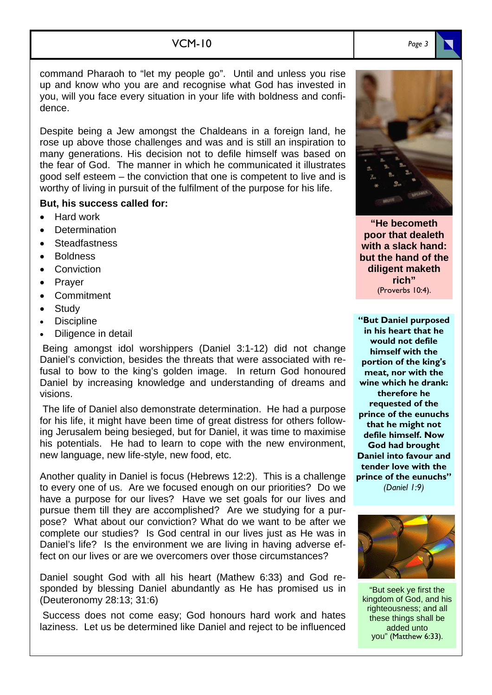### VCM-10

command Pharaoh to "let my people go". Until and unless you rise up and know who you are and recognise what God has invested in you, will you face every situation in your life with boldness and confidence.

Despite being a Jew amongst the Chaldeans in a foreign land, he rose up above those challenges and was and is still an inspiration to many generations. His decision not to defile himself was based on the fear of God. The manner in which he communicated it illustrates good self esteem – the conviction that one is competent to live and is worthy of living in pursuit of the fulfilment of the purpose for his life.

#### **But, his success called for:**

- Hard work
- **Determination**
- **Steadfastness**
- Boldness
- Conviction
- Prayer
- Commitment
- **Study**
- **Discipline**
- Diligence in detail

 Being amongst idol worshippers (Daniel 3:1-12) did not change Daniel's conviction, besides the threats that were associated with refusal to bow to the king's golden image. In return God honoured Daniel by increasing knowledge and understanding of dreams and visions.

 The life of Daniel also demonstrate determination. He had a purpose for his life, it might have been time of great distress for others following Jerusalem being besieged, but for Daniel, it was time to maximise his potentials. He had to learn to cope with the new environment, new language, new life-style, new food, etc.

Another quality in Daniel is focus (Hebrews 12:2). This is a challenge to every one of us. Are we focused enough on our priorities? Do we have a purpose for our lives? Have we set goals for our lives and pursue them till they are accomplished? Are we studying for a purpose? What about our conviction? What do we want to be after we complete our studies? Is God central in our lives just as He was in Daniel's life? Is the environment we are living in having adverse effect on our lives or are we overcomers over those circumstances?

Daniel sought God with all his heart (Mathew 6:33) and God responded by blessing Daniel abundantly as He has promised us in (Deuteronomy 28:13; 31:6)

 Success does not come easy; God honours hard work and hates laziness. Let us be determined like Daniel and reject to be influenced



**"He becometh poor that dealeth with a slack hand: but the hand of the diligent maketh rich"**  (Proverbs 10:4).

**"But Daniel purposed in his heart that he would not defile himself with the portion of the king's meat, nor with the wine which he drank: therefore he requested of the prince of the eunuchs that he might not defile himself. Now God had brought Daniel into favour and tender love with the prince of the eunuchs"**  *(Daniel 1:9)* 



"But seek ye first the kingdom of God, and his righteousness; and all these things shall be added unto you" (Matthew 6:33).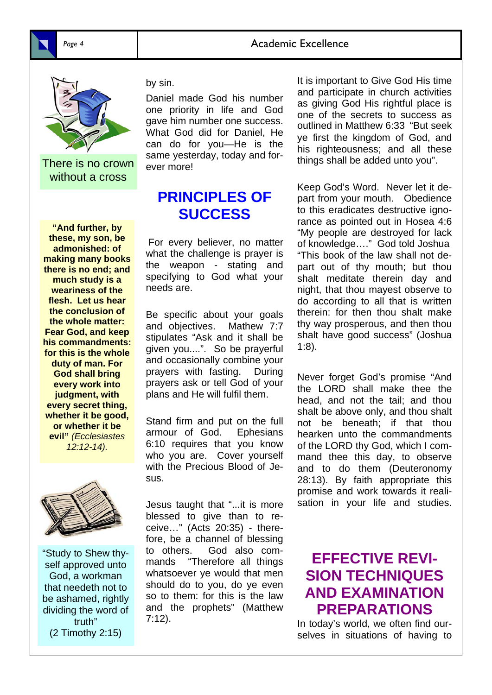

There is no crown without a cross

**"And further, by these, my son, be admonished: of making many books there is no end; and much study is a weariness of the flesh. Let us hear the conclusion of the whole matter: Fear God, and keep his commandments: for this is the whole duty of man. For God shall bring every work into judgment, with every secret thing, whether it be good, or whether it be evil"** *(Ecclesiastes 12:12-14).* 



"Study to Shew thyself approved unto God, a workman that needeth not to be ashamed, rightly dividing the word of truth" (2 Timothy 2:15)

by sin.

Daniel made God his number one priority in life and God gave him number one success. What God did for Daniel, He can do for you—He is the same yesterday, today and forever more!

## **PRINCIPLES OF SUCCESS**

For every believer, no matter what the challenge is prayer is the weapon - stating and specifying to God what your needs are.

Be specific about your goals and objectives. Mathew 7:7 stipulates "Ask and it shall be given you....". So be prayerful and occasionally combine your prayers with fasting. During prayers ask or tell God of your plans and He will fulfil them.

Stand firm and put on the full armour of God. Ephesians 6:10 requires that you know who you are. Cover yourself with the Precious Blood of Jesus.

Jesus taught that "...it is more blessed to give than to receive…" (Acts 20:35) - therefore, be a channel of blessing to others. God also commands "Therefore all things whatsoever ye would that men should do to you, do ye even so to them: for this is the law and the prophets" (Matthew 7:12).

It is important to Give God His time and participate in church activities as giving God His rightful place is one of the secrets to success as outlined in Matthew 6:33 "But seek ye first the kingdom of God, and his righteousness; and all these things shall be added unto you".

Keep God's Word. Never let it depart from your mouth. Obedience to this eradicates destructive ignorance as pointed out in Hosea 4:6 "My people are destroyed for lack of knowledge…." God told Joshua "This book of the law shall not depart out of thy mouth; but thou shalt meditate therein day and night, that thou mayest observe to do according to all that is written therein: for then thou shalt make thy way prosperous, and then thou shalt have good success" (Joshua 1:8).

Never forget God's promise "And the LORD shall make thee the head, and not the tail; and thou shalt be above only, and thou shalt not be beneath; if that thou hearken unto the commandments of the LORD thy God, which I command thee this day, to observe and to do them (Deuteronomy 28:13). By faith appropriate this promise and work towards it realisation in your life and studies.

## **EFFECTIVE REVI-SION TECHNIQUES AND EXAMINATION PREPARATIONS**

In today's world, we often find ourselves in situations of having to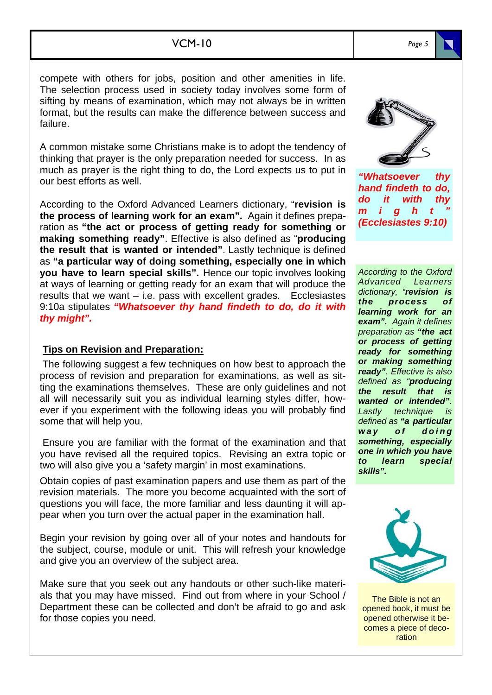compete with others for jobs, position and other amenities in life. The selection process used in society today involves some form of sifting by means of examination, which may not always be in written format, but the results can make the difference between success and failure.

A common mistake some Christians make is to adopt the tendency of thinking that prayer is the only preparation needed for success. In as much as prayer is the right thing to do, the Lord expects us to put in our best efforts as well.

According to the Oxford Advanced Learners dictionary, "**revision is the process of learning work for an exam".** Again it defines preparation as **"the act or process of getting ready for something or making something ready"**. Effective is also defined as "**producing the result that is wanted or intended"**. Lastly technique is defined as **"a particular way of doing something, especially one in which you have to learn special skills".** Hence our topic involves looking at ways of learning or getting ready for an exam that will produce the results that we want – i.e. pass with excellent grades. Ecclesiastes 9:10a stipulates *"Whatsoever thy hand findeth to do, do it with thy might".*

### **Tips on Revision and Preparation:**

 The following suggest a few techniques on how best to approach the process of revision and preparation for examinations, as well as sitting the examinations themselves. These are only guidelines and not all will necessarily suit you as individual learning styles differ, however if you experiment with the following ideas you will probably find some that will help you.

 Ensure you are familiar with the format of the examination and that you have revised all the required topics. Revising an extra topic or two will also give you a 'safety margin' in most examinations.

Obtain copies of past examination papers and use them as part of the revision materials. The more you become acquainted with the sort of questions you will face, the more familiar and less daunting it will appear when you turn over the actual paper in the examination hall.

Begin your revision by going over all of your notes and handouts for the subject, course, module or unit. This will refresh your knowledge and give you an overview of the subject area.

Make sure that you seek out any handouts or other such-like materials that you may have missed. Find out from where in your School / Department these can be collected and don't be afraid to go and ask for those copies you need.

*"Whatsoever thy hand findeth to do, do it with thy m i g h t "* 

*(Ecclesiastes 9:10)*

*According to the Oxford Advanced Learners dictionary, "revision is the process of learning work for an exam". Again it defines preparation as "the act or process of getting ready for something or making something ready". Effective is also defined as "producing the result that is wanted or intended". Lastly technique is defined as "a particular way* of doing *something, especially one in which you have to learn special skills".* 



The Bible is not an opened book, it must be opened otherwise it becomes a piece of decoration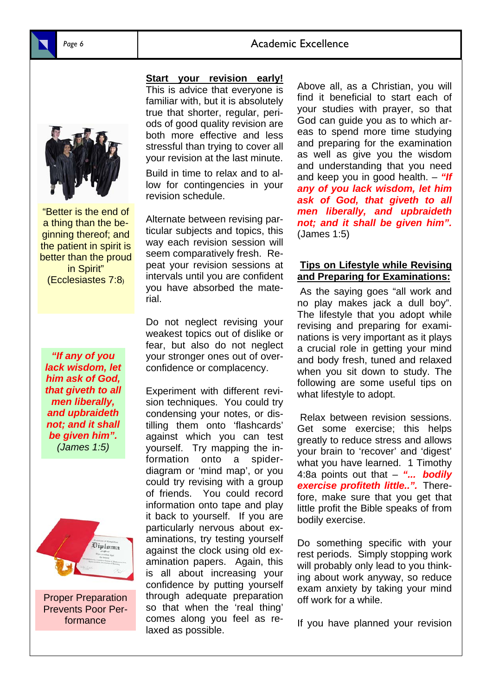## Page 6 **Academic Excellence**



"Better is the end of a thing than the beginning thereof; and the patient in spirit is better than the proud in Spirit" (Ecclesiastes 7:8)

*"If any of you lack wisdom, let him ask of God, that giveth to all men liberally, and upbraideth not; and it shall be given him". (James 1:5)* 



Proper Preparation Prevents Poor Performance

**Start your revision early!** 

This is advice that everyone is familiar with, but it is absolutely true that shorter, regular, periods of good quality revision are both more effective and less stressful than trying to cover all your revision at the last minute.

Build in time to relax and to allow for contingencies in your revision schedule.

Alternate between revising particular subjects and topics, this way each revision session will seem comparatively fresh. Repeat your revision sessions at intervals until you are confident you have absorbed the material.

Do not neglect revising your weakest topics out of dislike or fear, but also do not neglect your stronger ones out of overconfidence or complacency.

Experiment with different revision techniques. You could try condensing your notes, or distilling them onto 'flashcards' against which you can test yourself. Try mapping the information onto a spiderdiagram or 'mind map', or you could try revising with a group of friends. You could record information onto tape and play it back to yourself. If you are particularly nervous about examinations, try testing yourself against the clock using old examination papers. Again, this is all about increasing your confidence by putting yourself through adequate preparation so that when the 'real thing' comes along you feel as relaxed as possible.

Above all, as a Christian, you will find it beneficial to start each of your studies with prayer, so that God can guide you as to which areas to spend more time studying and preparing for the examination as well as give you the wisdom and understanding that you need and keep you in good health. – *"If any of you lack wisdom, let him ask of God, that giveth to all men liberally, and upbraideth not; and it shall be given him".*  (James 1:5)

#### **Tips on Lifestyle while Revising and Preparing for Examinations:**

 As the saying goes "all work and no play makes jack a dull boy". The lifestyle that you adopt while revising and preparing for examinations is very important as it plays a crucial role in getting your mind and body fresh, tuned and relaxed when you sit down to study. The following are some useful tips on what lifestyle to adopt.

 Relax between revision sessions. Get some exercise; this helps greatly to reduce stress and allows your brain to 'recover' and 'digest' what you have learned. 1 Timothy 4:8a points out that – *"... bodily exercise profiteth little..".* Therefore, make sure that you get that little profit the Bible speaks of from bodily exercise.

Do something specific with your rest periods. Simply stopping work will probably only lead to you thinking about work anyway, so reduce exam anxiety by taking your mind off work for a while.

If you have planned your revision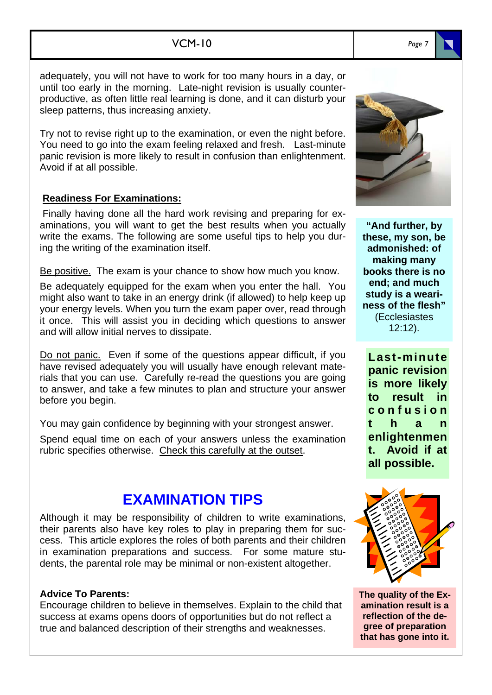### VCM-10

adequately, you will not have to work for too many hours in a day, or until too early in the morning. Late-night revision is usually counterproductive, as often little real learning is done, and it can disturb your sleep patterns, thus increasing anxiety.

Try not to revise right up to the examination, or even the night before. You need to go into the exam feeling relaxed and fresh. Last-minute panic revision is more likely to result in confusion than enlightenment. Avoid if at all possible.

### **Readiness For Examinations:**

 Finally having done all the hard work revising and preparing for examinations, you will want to get the best results when you actually write the exams. The following are some useful tips to help you during the writing of the examination itself.

Be positive. The exam is your chance to show how much you know.

Be adequately equipped for the exam when you enter the hall. You might also want to take in an energy drink (if allowed) to help keep up your energy levels. When you turn the exam paper over, read through it once. This will assist you in deciding which questions to answer and will allow initial nerves to dissipate.

Do not panic. Even if some of the questions appear difficult, if you have revised adequately you will usually have enough relevant materials that you can use. Carefully re-read the questions you are going to answer, and take a few minutes to plan and structure your answer before you begin.

You may gain confidence by beginning with your strongest answer.

Spend equal time on each of your answers unless the examination rubric specifies otherwise. Check this carefully at the outset.

## **EXAMINATION TIPS**

Although it may be responsibility of children to write examinations, their parents also have key roles to play in preparing them for success. This article explores the roles of both parents and their children in examination preparations and success. For some mature students, the parental role may be minimal or non-existent altogether.

#### **Advice To Parents:**

Encourage children to believe in themselves. Explain to the child that success at exams opens doors of opportunities but do not reflect a true and balanced description of their strengths and weaknesses.

**"And further, by these, my son, be admonished: of making many books there is no end; and much study is a weariness of the flesh"**  (Ecclesiastes 12:12).

**Last-minute panic revision is more likely to result in c o n f u s i o n t h a n enlightenmen t. Avoid if at all possible.**

**The quality of the Examination result is a reflection of the degree of preparation that has gone into it.** 





*Page 7*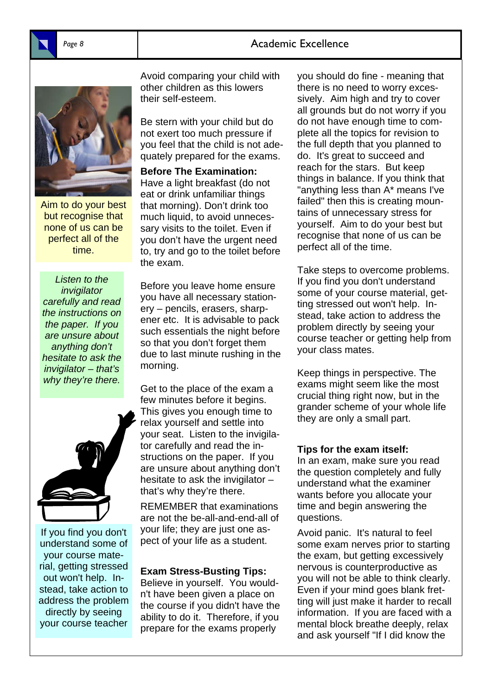## Page 8 **Academic Excellence**



Aim to do your best but recognise that none of us can be perfect all of the time.

*Listen to the invigilator carefully and read the instructions on the paper. If you are unsure about anything don't hesitate to ask the invigilator – that's why they're there.* 



If you find you don't understand some of your course material, getting stressed out won't help. Instead, take action to address the problem directly by seeing your course teacher

Avoid comparing your child with other children as this lowers their self-esteem.

Be stern with your child but do not exert too much pressure if you feel that the child is not adequately prepared for the exams.

**Before The Examination:**  Have a light breakfast (do not eat or drink unfamiliar things that morning). Don't drink too much liquid, to avoid unnecessary visits to the toilet. Even if you don't have the urgent need to, try and go to the toilet before the exam.

Before you leave home ensure you have all necessary stationery – pencils, erasers, sharpener etc. It is advisable to pack such essentials the night before so that you don't forget them due to last minute rushing in the morning.

Get to the place of the exam a few minutes before it begins. This gives you enough time to relax yourself and settle into your seat. Listen to the invigilator carefully and read the instructions on the paper. If you are unsure about anything don't hesitate to ask the invigilator – that's why they're there.

REMEMBER that examinations are not the be-all-and-end-all of your life; they are just one aspect of your life as a student.

#### **Exam Stress-Busting Tips:**

Believe in yourself. You wouldn't have been given a place on the course if you didn't have the ability to do it. Therefore, if you prepare for the exams properly

you should do fine - meaning that there is no need to worry excessively. Aim high and try to cover all grounds but do not worry if you do not have enough time to complete all the topics for revision to the full depth that you planned to do. It's great to succeed and reach for the stars. But keep things in balance. If you think that "anything less than A\* means I've failed" then this is creating mountains of unnecessary stress for yourself. Aim to do your best but recognise that none of us can be perfect all of the time.

Take steps to overcome problems. If you find you don't understand some of your course material, getting stressed out won't help. Instead, take action to address the problem directly by seeing your course teacher or getting help from your class mates.

Keep things in perspective. The exams might seem like the most crucial thing right now, but in the grander scheme of your whole life they are only a small part.

### **Tips for the exam itself:**

In an exam, make sure you read the question completely and fully understand what the examiner wants before you allocate your time and begin answering the questions.

Avoid panic. It's natural to feel some exam nerves prior to starting the exam, but getting excessively nervous is counterproductive as you will not be able to think clearly. Even if your mind goes blank fretting will just make it harder to recall information. If you are faced with a mental block breathe deeply, relax and ask yourself "If I did know the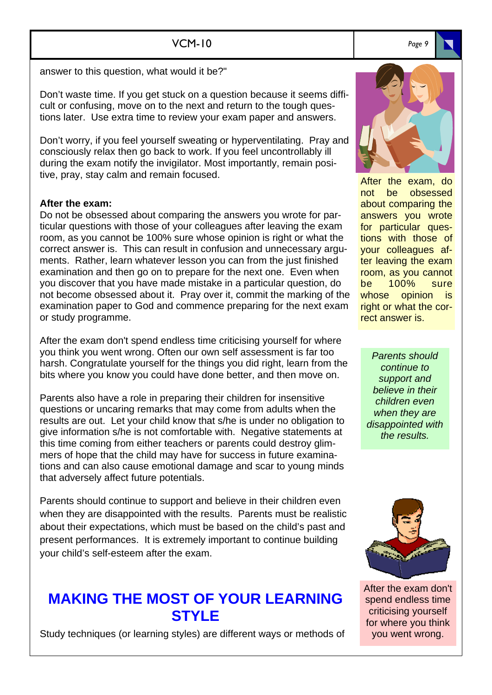answer to this question, what would it be?"

Don't waste time. If you get stuck on a question because it seems difficult or confusing, move on to the next and return to the tough questions later. Use extra time to review your exam paper and answers.

Don't worry, if you feel yourself sweating or hyperventilating. Pray and consciously relax then go back to work. If you feel uncontrollably ill during the exam notify the invigilator. Most importantly, remain positive, pray, stay calm and remain focused.

### **After the exam:**

Do not be obsessed about comparing the answers you wrote for particular questions with those of your colleagues after leaving the exam room, as you cannot be 100% sure whose opinion is right or what the correct answer is. This can result in confusion and unnecessary arguments. Rather, learn whatever lesson you can from the just finished examination and then go on to prepare for the next one. Even when you discover that you have made mistake in a particular question, do not become obsessed about it. Pray over it, commit the marking of the examination paper to God and commence preparing for the next exam or study programme.

After the exam don't spend endless time criticising yourself for where you think you went wrong. Often our own self assessment is far too harsh. Congratulate yourself for the things you did right, learn from the bits where you know you could have done better, and then move on.

Parents also have a role in preparing their children for insensitive questions or uncaring remarks that may come from adults when the results are out. Let your child know that s/he is under no obligation to give information s/he is not comfortable with. Negative statements at this time coming from either teachers or parents could destroy glimmers of hope that the child may have for success in future examinations and can also cause emotional damage and scar to young minds that adversely affect future potentials.

Parents should continue to support and believe in their children even when they are disappointed with the results. Parents must be realistic about their expectations, which must be based on the child's past and present performances. It is extremely important to continue building your child's self-esteem after the exam.

## **MAKING THE MOST OF YOUR LEARNING STYLE**

Study techniques (or learning styles) are different ways or methods of



After the exam, do not be obsessed about comparing the answers you wrote for particular questions with those of your colleagues after leaving the exam room, as you cannot be 100% sure whose opinion is right or what the correct answer is.

*Parents should continue to support and believe in their children even when they are disappointed with the results.* 



After the exam don't spend endless time criticising yourself for where you think you went wrong.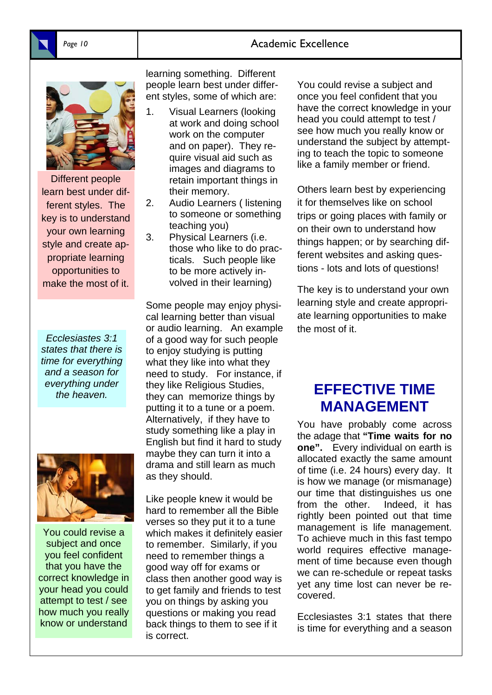## Page 10 **Academic Excellence**



Different people learn best under different styles. The key is to understand your own learning style and create appropriate learning opportunities to make the most of it.

*Ecclesiastes 3:1 states that there is time for everything and a season for everything under the heaven.* 



You could revise a subject and once you feel confident that you have the correct knowledge in your head you could attempt to test / see how much you really know or understand

learning something. Different people learn best under different styles, some of which are:

- 1. Visual Learners (looking at work and doing school work on the computer and on paper). They require visual aid such as images and diagrams to retain important things in their memory.
- 2. Audio Learners ( listening to someone or something teaching you)
- 3. Physical Learners (i.e. those who like to do practicals. Such people like to be more actively involved in their learning)

Some people may enjoy physical learning better than visual or audio learning. An example of a good way for such people to enjoy studying is putting what they like into what they need to study. For instance, if they like Religious Studies, they can memorize things by putting it to a tune or a poem. Alternatively, if they have to study something like a play in English but find it hard to study maybe they can turn it into a drama and still learn as much as they should.

Like people knew it would be hard to remember all the Bible verses so they put it to a tune which makes it definitely easier to remember. Similarly, if you need to remember things a good way off for exams or class then another good way is to get family and friends to test you on things by asking you questions or making you read back things to them to see if it is correct.

You could revise a subject and once you feel confident that you have the correct knowledge in your head you could attempt to test / see how much you really know or understand the subject by attempting to teach the topic to someone like a family member or friend.

Others learn best by experiencing it for themselves like on school trips or going places with family or on their own to understand how things happen; or by searching different websites and asking questions - lots and lots of questions!

The key is to understand your own learning style and create appropriate learning opportunities to make the most of it.

## **EFFECTIVE TIME MANAGEMENT**

You have probably come across the adage that **"Time waits for no one".** Every individual on earth is allocated exactly the same amount of time (i.e. 24 hours) every day. It is how we manage (or mismanage) our time that distinguishes us one from the other. Indeed, it has rightly been pointed out that time management is life management. To achieve much in this fast tempo world requires effective management of time because even though we can re-schedule or repeat tasks yet any time lost can never be recovered.

Ecclesiastes 3:1 states that there is time for everything and a season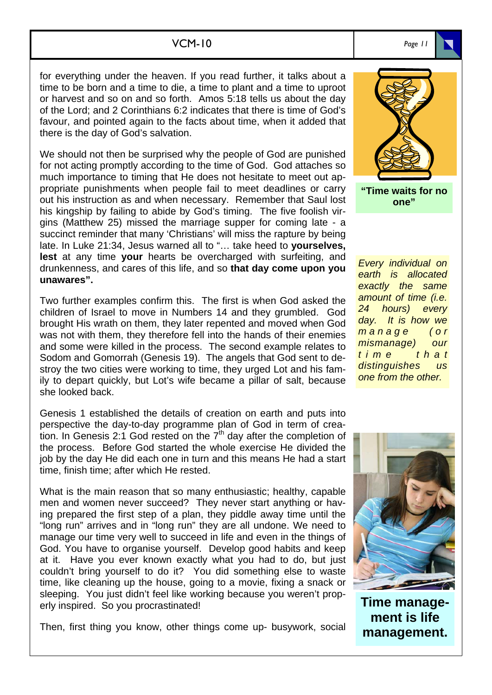### VCM-10

for everything under the heaven. If you read further, it talks about a time to be born and a time to die, a time to plant and a time to uproot or harvest and so on and so forth. Amos 5:18 tells us about the day of the Lord; and 2 Corinthians 6:2 indicates that there is time of God's favour, and pointed again to the facts about time, when it added that there is the day of God's salvation.

We should not then be surprised why the people of God are punished for not acting promptly according to the time of God. God attaches so much importance to timing that He does not hesitate to meet out appropriate punishments when people fail to meet deadlines or carry out his instruction as and when necessary. Remember that Saul lost his kingship by failing to abide by God's timing. The five foolish virgins (Matthew 25) missed the marriage supper for coming late - a succinct reminder that many 'Christians' will miss the rapture by being late. In Luke 21:34, Jesus warned all to "… take heed to **yourselves, lest** at any time **your** hearts be overcharged with surfeiting, and drunkenness, and cares of this life, and so **that day come upon you unawares".**

Two further examples confirm this. The first is when God asked the children of Israel to move in Numbers 14 and they grumbled. God brought His wrath on them, they later repented and moved when God was not with them, they therefore fell into the hands of their enemies and some were killed in the process. The second example relates to Sodom and Gomorrah (Genesis 19). The angels that God sent to destroy the two cities were working to time, they urged Lot and his family to depart quickly, but Lot's wife became a pillar of salt, because she looked back.

Genesis 1 established the details of creation on earth and puts into perspective the day-to-day programme plan of God in term of creation. In Genesis 2:1 God rested on the  $7<sup>th</sup>$  day after the completion of the process. Before God started the whole exercise He divided the job by the day He did each one in turn and this means He had a start time, finish time; after which He rested.

What is the main reason that so many enthusiastic; healthy, capable men and women never succeed? They never start anything or having prepared the first step of a plan, they piddle away time until the "long run" arrives and in "long run" they are all undone. We need to manage our time very well to succeed in life and even in the things of God. You have to organise yourself. Develop good habits and keep at it. Have you ever known exactly what you had to do, but just couldn't bring yourself to do it? You did something else to waste time, like cleaning up the house, going to a movie, fixing a snack or sleeping. You just didn't feel like working because you weren't properly inspired. So you procrastinated!

Then, first thing you know, other things come up- busywork, social

**"Time waits for no one"**

*Every individual on earth is allocated exactly the same amount of time (i.e. 24 hours) every day. It is how we m a n a g e ( o r mismanage) our t i m e t h a t distinguishes us one from the other.*



**Time management is life management.**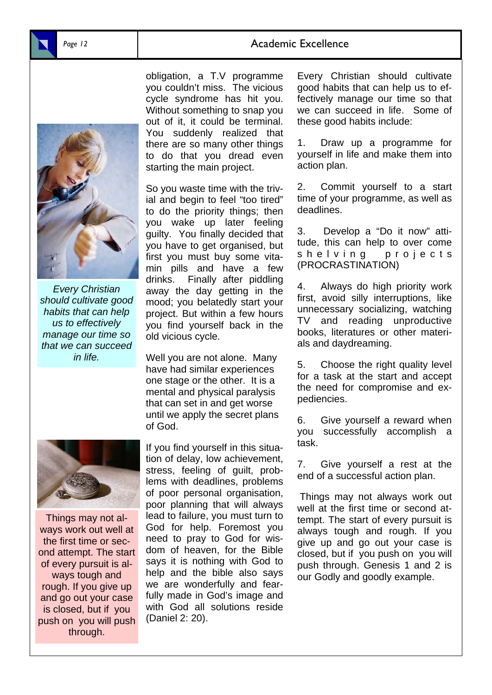### Page 12 **Academic Excellence**



*Every Christian should cultivate good habits that can help us to effectively manage our time so that we can succeed in life.* 

obligation, a T.V programme you couldn't miss. The vicious cycle syndrome has hit you. Without something to snap you out of it, it could be terminal. You suddenly realized that there are so many other things to do that you dread even starting the main project.

So you waste time with the trivial and begin to feel "too tired" to do the priority things; then you wake up later feeling guilty. You finally decided that you have to get organised, but first you must buy some vitamin pills and have a few drinks. Finally after piddling away the day getting in the mood; you belatedly start your project. But within a few hours you find yourself back in the old vicious cycle.

Well you are not alone. Many have had similar experiences one stage or the other. It is a mental and physical paralysis that can set in and get worse until we apply the secret plans of God.



Things may not always work out well at the first time or second attempt. The start of every pursuit is always tough and rough. If you give up and go out your case is closed, but if you push on you will push through.

If you find yourself in this situation of delay, low achievement, stress, feeling of guilt, problems with deadlines, problems of poor personal organisation, poor planning that will always lead to failure, you must turn to God for help. Foremost you need to pray to God for wisdom of heaven, for the Bible says it is nothing with God to help and the bible also says we are wonderfully and fearfully made in God's image and with God all solutions reside (Daniel 2: 20).

Every Christian should cultivate good habits that can help us to effectively manage our time so that we can succeed in life. Some of these good habits include:

1. Draw up a programme for yourself in life and make them into action plan.

2. Commit yourself to a start time of your programme, as well as deadlines.

3. Develop a "Do it now" attitude, this can help to over come shelving projects (PROCRASTINATION)

4. Always do high priority work first, avoid silly interruptions, like unnecessary socializing, watching TV and reading unproductive books, literatures or other materials and daydreaming.

5. Choose the right quality level for a task at the start and accept the need for compromise and expediencies.

6. Give yourself a reward when you successfully accomplish a task.

7. Give yourself a rest at the end of a successful action plan.

Things may not always work out well at the first time or second attempt. The start of every pursuit is always tough and rough. If you give up and go out your case is closed, but if you push on you will push through. Genesis 1 and 2 is our Godly and goodly example.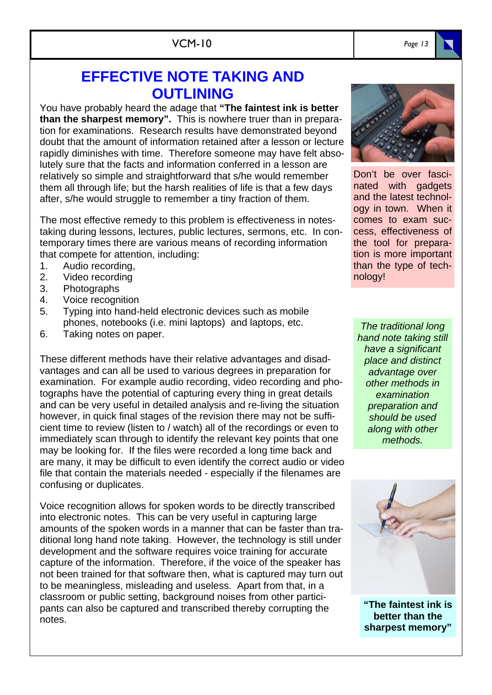# **EFFECTIVE NOTE TAKING AND OUTLINING**

You have probably heard the adage that **"The faintest ink is better than the sharpest memory".** This is nowhere truer than in preparation for examinations. Research results have demonstrated beyond doubt that the amount of information retained after a lesson or lecture rapidly diminishes with time. Therefore someone may have felt absolutely sure that the facts and information conferred in a lesson are relatively so simple and straightforward that s/he would remember them all through life; but the harsh realities of life is that a few days after, s/he would struggle to remember a tiny fraction of them.

The most effective remedy to this problem is effectiveness in notestaking during lessons, lectures, public lectures, sermons, etc. In contemporary times there are various means of recording information that compete for attention, including:

- 1. Audio recording,
- 2. Video recording
- 3. Photographs
- 4. Voice recognition
- 5. Typing into hand-held electronic devices such as mobile phones, notebooks (i.e. mini laptops) and laptops, etc.
- 6. Taking notes on paper.

These different methods have their relative advantages and disadvantages and can all be used to various degrees in preparation for examination. For example audio recording, video recording and photographs have the potential of capturing every thing in great details and can be very useful in detailed analysis and re-living the situation however, in quick final stages of the revision there may not be sufficient time to review (listen to / watch) all of the recordings or even to immediately scan through to identify the relevant key points that one may be looking for. If the files were recorded a long time back and are many, it may be difficult to even identify the correct audio or video file that contain the materials needed - especially if the filenames are confusing or duplicates.

Voice recognition allows for spoken words to be directly transcribed into electronic notes. This can be very useful in capturing large amounts of the spoken words in a manner that can be faster than traditional long hand note taking. However, the technology is still under development and the software requires voice training for accurate capture of the information. Therefore, if the voice of the speaker has not been trained for that software then, what is captured may turn out to be meaningless, misleading and useless. Apart from that, in a classroom or public setting, background noises from other participants can also be captured and transcribed thereby corrupting the notes.



nated with gadgets and the latest technology in town. When it comes to exam success, effectiveness of the tool for preparation is more important than the type of technology!

*The traditional long hand note taking still have a significant place and distinct advantage over other methods in examination preparation and should be used along with other methods.* 



**"The faintest ink is better than the sharpest memory"**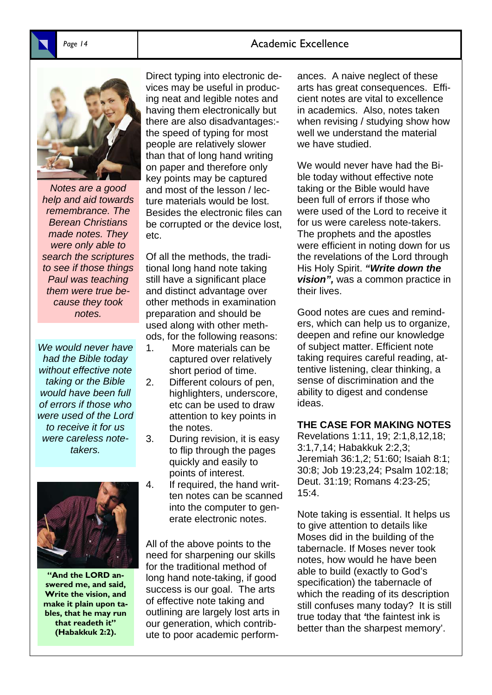## Page 14 **Academic Excellence**



*Notes are a good help and aid towards remembrance. The Berean Christians made notes. They were only able to search the scriptures to see if those things Paul was teaching them were true because they took notes.* 

*We would never have had the Bible today without effective note taking or the Bible would have been full of errors if those who were used of the Lord to receive it for us were careless notetakers.* 



**"And the LORD answered me, and said, Write the vision, and make it plain upon tables, that he may run that readeth it" (Habakkuk 2:2).** 

Direct typing into electronic devices may be useful in producing neat and legible notes and having them electronically but there are also disadvantages: the speed of typing for most people are relatively slower than that of long hand writing on paper and therefore only key points may be captured and most of the lesson / lecture materials would be lost. Besides the electronic files can be corrupted or the device lost, etc.

Of all the methods, the traditional long hand note taking still have a significant place and distinct advantage over other methods in examination preparation and should be used along with other methods, for the following reasons:

- 1. More materials can be captured over relatively short period of time.
- 2. Different colours of pen, highlighters, underscore, etc can be used to draw attention to key points in the notes.
- 3. During revision, it is easy to flip through the pages quickly and easily to points of interest.
- 4. If required, the hand written notes can be scanned into the computer to generate electronic notes.

All of the above points to the need for sharpening our skills for the traditional method of long hand note-taking, if good success is our goal. The arts of effective note taking and outlining are largely lost arts in our generation, which contribute to poor academic perform-

ances. A naive neglect of these arts has great consequences. Efficient notes are vital to excellence in academics. Also, notes taken when revising / studying show how well we understand the material we have studied.

We would never have had the Bible today without effective note taking or the Bible would have been full of errors if those who were used of the Lord to receive it for us were careless note-takers. The prophets and the apostles were efficient in noting down for us the revelations of the Lord through His Holy Spirit. *"Write down the vision",* was a common practice in their lives.

Good notes are cues and reminders, which can help us to organize, deepen and refine our knowledge of subject matter. Efficient note taking requires careful reading, attentive listening, clear thinking, a sense of discrimination and the ability to digest and condense ideas.

#### **THE CASE FOR MAKING NOTES**

Revelations 1:11, 19; 2:1,8,12,18; 3:1,7,14; Habakkuk 2:2,3; Jeremiah 36:1,2; 51:60; Isaiah 8:1; 30:8; Job 19:23,24; Psalm 102:18; Deut. 31:19; Romans 4:23-25; 15:4.

Note taking is essential. It helps us to give attention to details like Moses did in the building of the tabernacle. If Moses never took notes, how would he have been able to build (exactly to God's specification) the tabernacle of which the reading of its description still confuses many today? It is still true today that *'*the faintest ink is better than the sharpest memory'.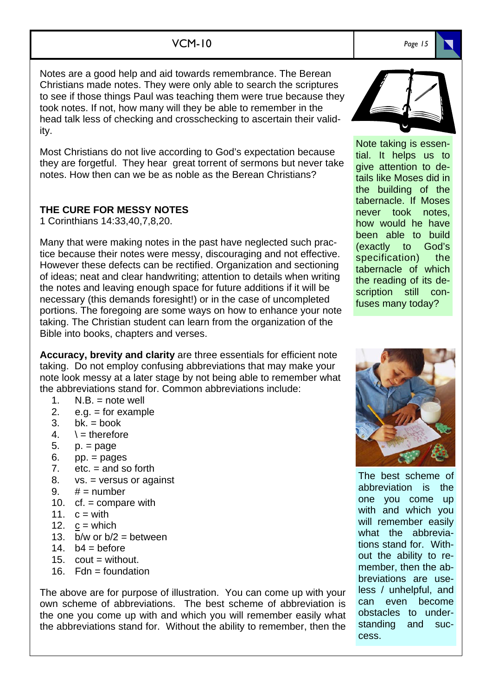## VCM-10 *Page 15*

Notes are a good help and aid towards remembrance. The Berean Christians made notes. They were only able to search the scriptures to see if those things Paul was teaching them were true because they took notes. If not, how many will they be able to remember in the head talk less of checking and crosschecking to ascertain their validity.

Most Christians do not live according to God's expectation because they are forgetful. They hear great torrent of sermons but never take notes. How then can we be as noble as the Berean Christians?

### **THE CURE FOR MESSY NOTES**

1 Corinthians 14:33,40,7,8,20.

Many that were making notes in the past have neglected such practice because their notes were messy, discouraging and not effective. However these defects can be rectified. Organization and sectioning of ideas; neat and clear handwriting; attention to details when writing the notes and leaving enough space for future additions if it will be necessary (this demands foresight!) or in the case of uncompleted portions. The foregoing are some ways on how to enhance your note taking. The Christian student can learn from the organization of the Bible into books, chapters and verses.

**Accuracy, brevity and clarity** are three essentials for efficient note taking. Do not employ confusing abbreviations that may make your note look messy at a later stage by not being able to remember what the abbreviations stand for. Common abbreviations include:

- 1.  $N.B. = note$  well
- 2.  $e.a. = for example$
- $3.$  bk. = book
- 4.  $\rightarrow$  = therefore
- 5. p. = page
- $6.$  pp.  $=$  pages
- 7.  $etc. = and so forth$
- 8. vs. = versus or against
- 9.  $# =$  number
- 10. cf. = compare with
- 11.  $c = with$
- 12.  $c =$  which
- 13. b/w or  $b/2 =$  between
- 14.  $b4 = bef$ ore
- 15.  $\text{cout} = \text{without}$ .
- 16.  $Fdn =$  foundation

The above are for purpose of illustration. You can come up with your own scheme of abbreviations. The best scheme of abbreviation is the one you come up with and which you will remember easily what the abbreviations stand for. Without the ability to remember, then the



Note taking is essential. It helps us to give attention to details like Moses did in the building of the tabernacle. If Moses never took notes, how would he have been able to build (exactly to God's specification) the tabernacle of which the reading of its description still confuses many today?



The best scheme of abbreviation is the one you come up with and which you will remember easily what the abbreviations stand for. Without the ability to remember, then the abbreviations are useless / unhelpful, and can even become obstacles to understanding and success.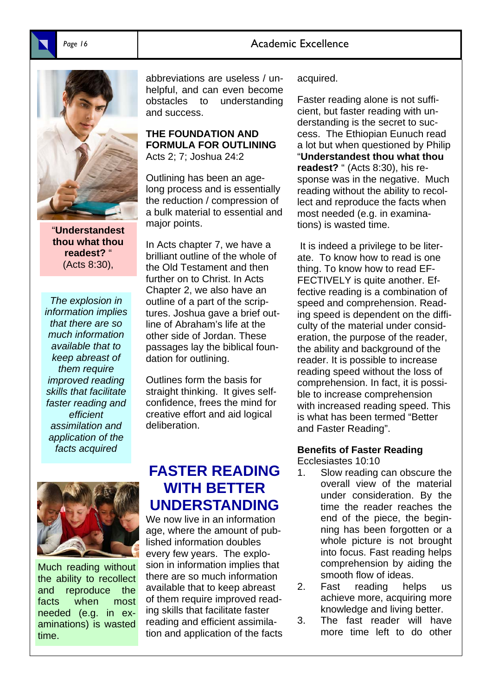## Page 16 **Academic Excellence**



"**Understandest thou what thou readest?** " (Acts 8:30),

*The explosion in information implies that there are so much information available that to keep abreast of them require improved reading skills that facilitate faster reading and efficient assimilation and application of the facts acquired*

abbreviations are useless / unhelpful, and can even become obstacles to understanding and success.

#### **THE FOUNDATION AND FORMULA FOR OUTLINING**  Acts 2; 7; Joshua 24:2

Outlining has been an agelong process and is essentially the reduction / compression of a bulk material to essential and major points.

In Acts chapter 7, we have a brilliant outline of the whole of the Old Testament and then further on to Christ. In Acts Chapter 2, we also have an outline of a part of the scriptures. Joshua gave a brief outline of Abraham's life at the other side of Jordan. These passages lay the biblical foundation for outlining.

Outlines form the basis for straight thinking. It gives selfconfidence, frees the mind for creative effort and aid logical deliberation.

Much reading without the ability to recollect and reproduce the facts when most needed (e.g. in examinations) is wasted time.

## **FASTER READING WITH BETTER UNDERSTANDING**

We now live in an information age, where the amount of published information doubles every few years. The explosion in information implies that there are so much information available that to keep abreast of them require improved reading skills that facilitate faster reading and efficient assimilation and application of the facts acquired.

Faster reading alone is not sufficient, but faster reading with understanding is the secret to success. The Ethiopian Eunuch read a lot but when questioned by Philip "**Understandest thou what thou readest?** " (Acts 8:30), his response was in the negative. Much reading without the ability to recollect and reproduce the facts when most needed (e.g. in examinations) is wasted time.

 It is indeed a privilege to be literate. To know how to read is one thing. To know how to read EF-FECTIVELY is quite another. Effective reading is a combination of speed and comprehension. Reading speed is dependent on the difficulty of the material under consideration, the purpose of the reader, the ability and background of the reader. It is possible to increase reading speed without the loss of comprehension. In fact, it is possible to increase comprehension with increased reading speed. This is what has been termed "Better and Faster Reading".

## **Benefits of Faster Reading**

Ecclesiastes 10:10

- 1. Slow reading can obscure the overall view of the material under consideration. By the time the reader reaches the end of the piece, the beginning has been forgotten or a whole picture is not brought into focus. Fast reading helps comprehension by aiding the smooth flow of ideas.
- 2. Fast reading helps us achieve more, acquiring more knowledge and living better.
- 3. The fast reader will have more time left to do other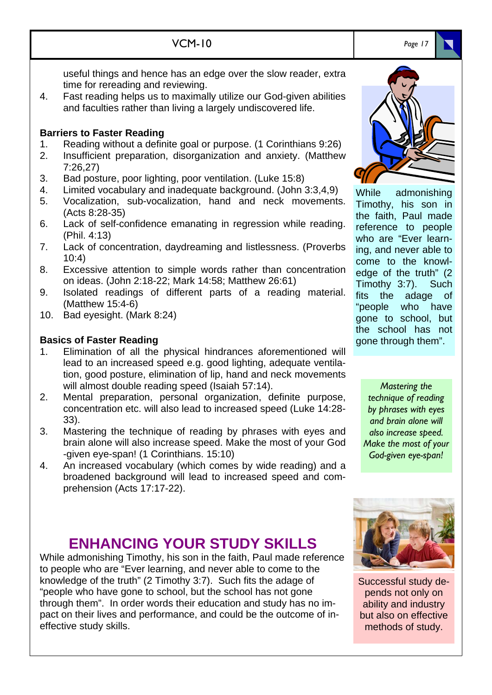- useful things and hence has an edge over the slow reader, extra time for rereading and reviewing.
- 4. Fast reading helps us to maximally utilize our God-given abilities and faculties rather than living a largely undiscovered life.

VCM-10

### **Barriers to Faster Reading**

- 1. Reading without a definite goal or purpose. (1 Corinthians 9:26)
- 2. Insufficient preparation, disorganization and anxiety. (Matthew 7:26,27)
- 3. Bad posture, poor lighting, poor ventilation. (Luke 15:8)
- 4. Limited vocabulary and inadequate background. (John 3:3,4,9)
- 5. Vocalization, sub-vocalization, hand and neck movements. (Acts 8:28-35)
- 6. Lack of self-confidence emanating in regression while reading. (Phil. 4:13)
- 7. Lack of concentration, daydreaming and listlessness. (Proverbs  $10:4$
- 8. Excessive attention to simple words rather than concentration on ideas. (John 2:18-22; Mark 14:58; Matthew 26:61)
- 9. Isolated readings of different parts of a reading material. (Matthew 15:4-6)
- 10. Bad eyesight. (Mark 8:24)

## **Basics of Faster Reading**

- 1. Elimination of all the physical hindrances aforementioned will lead to an increased speed e.g. good lighting, adequate ventilation, good posture, elimination of lip, hand and neck movements will almost double reading speed (Isaiah 57:14).
- 2. Mental preparation, personal organization, definite purpose, concentration etc. will also lead to increased speed (Luke 14:28- 33).
- 3. Mastering the technique of reading by phrases with eyes and brain alone will also increase speed. Make the most of your God -given eye-span! (1 Corinthians. 15:10)
- 4. An increased vocabulary (which comes by wide reading) and a broadened background will lead to increased speed and comprehension (Acts 17:17-22).

# **ENHANCING YOUR STUDY SKILLS**

While admonishing Timothy, his son in the faith, Paul made reference to people who are "Ever learning, and never able to come to the knowledge of the truth" (2 Timothy 3:7). Such fits the adage of "people who have gone to school, but the school has not gone through them". In order words their education and study has no impact on their lives and performance, and could be the outcome of ineffective study skills.



Timothy, his son in the faith, Paul made reference to people who are "Ever learning, and never able to come to the knowledge of the truth" (2 Timothy 3:7). Such fits the adage of "people who have gone to school, but the school has not gone through them".

*Mastering the technique of reading by phrases with eyes and brain alone will also increase speed. Make the most of your God-given eye-span!* 



Successful study depends not only on ability and industry but also on effective methods of study.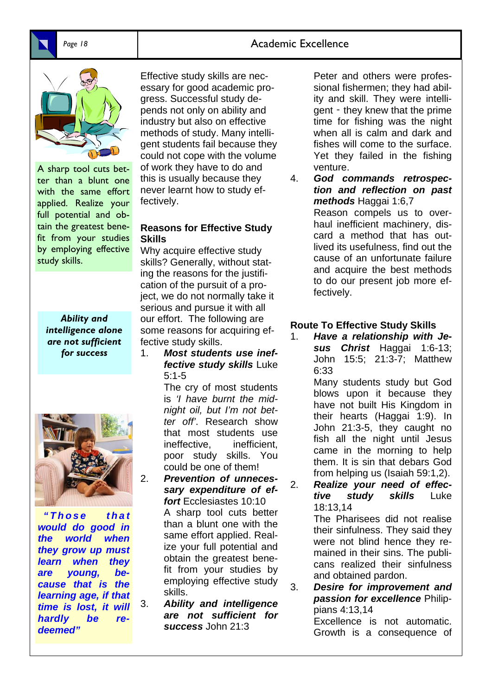## Page 18 **Academic Excellence**



A sharp tool cuts better than a blunt one with the same effort applied. Realize your full potential and obtain the greatest benefit from your studies by employing effective study skills.

*Ability and intelligence alone are not sufficient for success* 



*" T h o s e t h a t would do good in the world when they grow up must learn when they are young, because that is the learning age, if that time is lost, it will hardly be redeemed"* 

Effective study skills are necessary for good academic progress. Successful study depends not only on ability and industry but also on effective methods of study. Many intelligent students fail because they could not cope with the volume of work they have to do and this is usually because they never learnt how to study effectively.

### **Reasons for Effective Study Skills**

Why acquire effective study skills? Generally, without stating the reasons for the justification of the pursuit of a project, we do not normally take it serious and pursue it with all our effort. The following are some reasons for acquiring effective study skills.

1. *Most students use ineffective study skills* Luke 5:1-5

 The cry of most students is *'I have burnt the midnight oil, but I'm not better off'*. Research show that most students use ineffective, inefficient, poor study skills. You could be one of them!

- 2. *Prevention of unnecessary expenditure of effort* Ecclesiastes 10:10 A sharp tool cuts better than a blunt one with the same effort applied. Realize your full potential and obtain the greatest benefit from your studies by employing effective study skills.
- 3. *Ability and intelligence are not sufficient for success* John 21:3

 Peter and others were professional fishermen; they had ability and skill. They were intelligent ‑ they knew that the prime time for fishing was the night when all is calm and dark and fishes will come to the surface. Yet they failed in the fishing venture.

4. *God commands retrospection and reflection on past methods* Haggai 1:6,7 Reason compels us to overhaul inefficient machinery, discard a method that has outlived its usefulness, find out the cause of an unfortunate failure and acquire the best methods to do our present job more effectively.

### **Route To Effective Study Skills**

1. *Have a relationship with Jesus Christ* Haggai 1:6-13; John 15:5; 21:3-7; Matthew 6:33

 Many students study but God blows upon it because they have not built His Kingdom in their hearts (Haggai 1:9). In John 21:3-5, they caught no fish all the night until Jesus came in the morning to help them. It is sin that debars God from helping us (Isaiah 59:1,2).

2. *Realize your need of effective study skills* Luke 18:13,14

 The Pharisees did not realise their sinfulness. They said they were not blind hence they remained in their sins. The publicans realized their sinfulness and obtained pardon.

3. *Desire for improvement and passion for excellence* Philippians 4:13,14

> Excellence is not automatic. Growth is a consequence of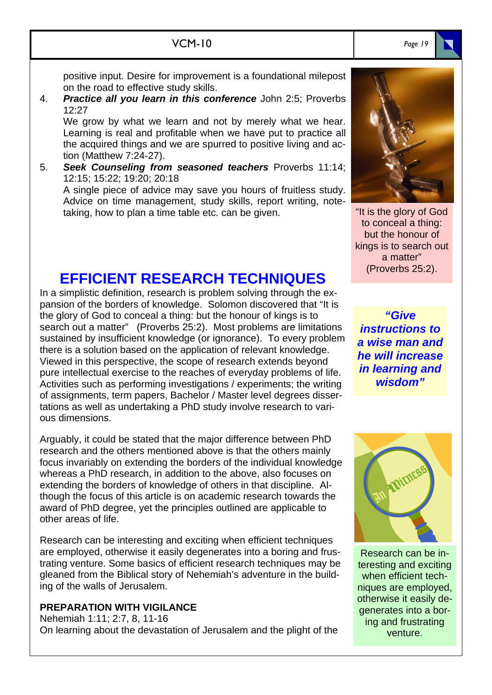positive input. Desire for improvement is a foundational milepost on the road to effective study skills.

4. *Practice all you learn in this conference* John 2:5; Proverbs 12:27

 We grow by what we learn and not by merely what we hear. Learning is real and profitable when we have put to practice all the acquired things and we are spurred to positive living and action (Matthew 7:24-27).

5. *Seek Counseling from seasoned teachers* Proverbs 11:14; 12:15; 15:22; 19:20; 20:18

 A single piece of advice may save you hours of fruitless study. Advice on time management, study skills, report writing, notetaking, how to plan a time table etc. can be given.

## **EFFICIENT RESEARCH TECHNIQUES**

In a simplistic definition, research is problem solving through the expansion of the borders of knowledge. Solomon discovered that "It is the glory of God to conceal a thing: but the honour of kings is to search out a matter" (Proverbs 25:2). Most problems are limitations sustained by insufficient knowledge (or ignorance). To every problem there is a solution based on the application of relevant knowledge. Viewed in this perspective, the scope of research extends beyond pure intellectual exercise to the reaches of everyday problems of life. Activities such as performing investigations / experiments; the writing of assignments, term papers, Bachelor / Master level degrees dissertations as well as undertaking a PhD study involve research to various dimensions.

Arguably, it could be stated that the major difference between PhD research and the others mentioned above is that the others mainly focus invariably on extending the borders of the individual knowledge whereas a PhD research, in addition to the above, also focuses on extending the borders of knowledge of others in that discipline. Although the focus of this article is on academic research towards the award of PhD degree, yet the principles outlined are applicable to other areas of life.

Research can be interesting and exciting when efficient techniques are employed, otherwise it easily degenerates into a boring and frustrating venture. Some basics of efficient research techniques may be gleaned from the Biblical story of Nehemiah's adventure in the building of the walls of Jerusalem.

### **PREPARATION WITH VIGILANCE**

Nehemiah 1:11; 2:7, 8, 11-16 On learning about the devastation of Jerusalem and the plight of the



"It is the glory of God to conceal a thing: but the honour of kings is to search out a matter" (Proverbs 25:2).

*"Give instructions to a wise man and he will increase in learning and wisdom"* 



Research can be interesting and exciting when efficient techniques are employed, otherwise it easily degenerates into a boring and frustrating venture.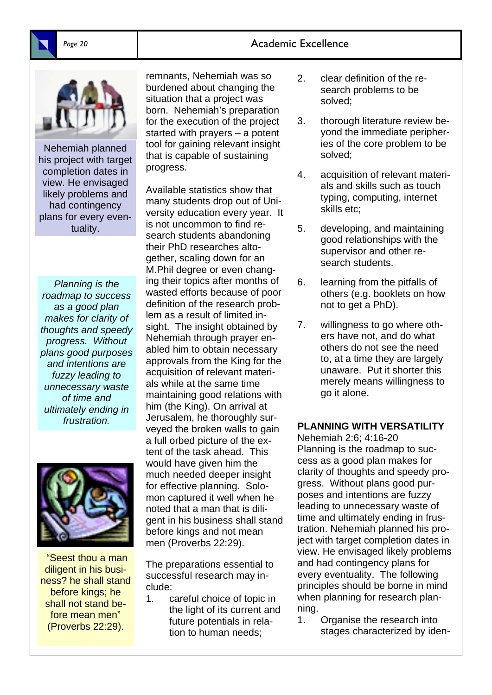## Page 20 **Academic Excellence**



Nehemiah planned his project with target completion dates in view. He envisaged likely problems and had contingency plans for every eventuality.

*Planning is the roadmap to success as a good plan makes for clarity of thoughts and speedy progress. Without plans good purposes and intentions are fuzzy leading to unnecessary waste of time and ultimately ending in frustration.* 



 "Seest thou a man diligent in his business? he shall stand before kings; he shall not stand before mean men" (Proverbs 22:29).

remnants, Nehemiah was so burdened about changing the situation that a project was born. Nehemiah's preparation for the execution of the project started with prayers – a potent tool for gaining relevant insight that is capable of sustaining progress.

Available statistics show that many students drop out of University education every year. It is not uncommon to find research students abandoning their PhD researches altogether, scaling down for an M.Phil degree or even changing their topics after months of wasted efforts because of poor definition of the research problem as a result of limited insight. The insight obtained by Nehemiah through prayer enabled him to obtain necessary approvals from the King for the acquisition of relevant materials while at the same time maintaining good relations with him (the King). On arrival at Jerusalem, he thoroughly surveyed the broken walls to gain a full orbed picture of the extent of the task ahead. This would have given him the much needed deeper insight for effective planning. Solomon captured it well when he noted that a man that is diligent in his business shall stand before kings and not mean men (Proverbs 22:29).

The preparations essential to successful research may include:

1. careful choice of topic in the light of its current and future potentials in relation to human needs;

- 2. clear definition of the research problems to be solved;
- 3. thorough literature review beyond the immediate peripheries of the core problem to be solved;
- 4. acquisition of relevant materials and skills such as touch typing, computing, internet skills etc;
- 5. developing, and maintaining good relationships with the supervisor and other research students.
- 6. learning from the pitfalls of others (e.g. booklets on how not to get a PhD).
- 7. willingness to go where others have not, and do what others do not see the need to, at a time they are largely unaware. Put it shorter this merely means willingness to go it alone.

### **PLANNING WITH VERSATILITY**

Nehemiah 2:6; 4:16-20 Planning is the roadmap to success as a good plan makes for clarity of thoughts and speedy progress. Without plans good purposes and intentions are fuzzy leading to unnecessary waste of time and ultimately ending in frustration. Nehemiah planned his project with target completion dates in view. He envisaged likely problems and had contingency plans for every eventuality. The following principles should be borne in mind when planning for research planning.

1. Organise the research into stages characterized by iden-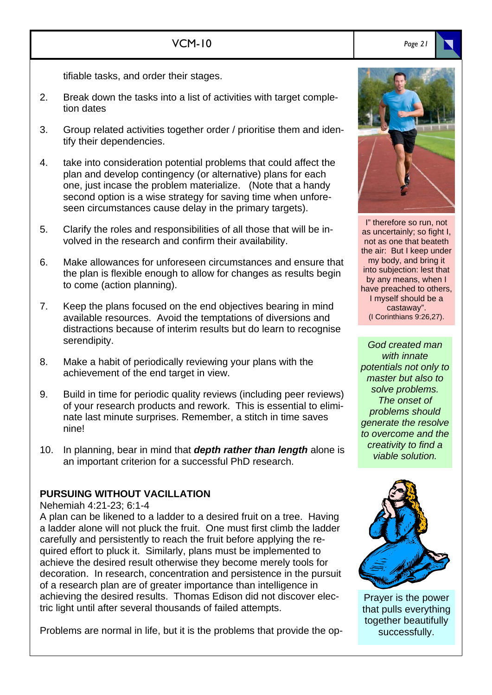tifiable tasks, and order their stages.

- 2. Break down the tasks into a list of activities with target completion dates
- 3. Group related activities together order / prioritise them and identify their dependencies.
- 4. take into consideration potential problems that could affect the plan and develop contingency (or alternative) plans for each one, just incase the problem materialize. (Note that a handy second option is a wise strategy for saving time when unforeseen circumstances cause delay in the primary targets).
- 5. Clarify the roles and responsibilities of all those that will be involved in the research and confirm their availability.
- 6. Make allowances for unforeseen circumstances and ensure that the plan is flexible enough to allow for changes as results begin to come (action planning).
- 7. Keep the plans focused on the end objectives bearing in mind available resources. Avoid the temptations of diversions and distractions because of interim results but do learn to recognise serendipity.
- 8. Make a habit of periodically reviewing your plans with the achievement of the end target in view.
- 9. Build in time for periodic quality reviews (including peer reviews) of your research products and rework. This is essential to eliminate last minute surprises. Remember, a stitch in time saves nine!
- 10. In planning, bear in mind that *depth rather than length* alone is an important criterion for a successful PhD research.

### **PURSUING WITHOUT VACILLATION**

Nehemiah 4:21-23; 6:1-4

A plan can be likened to a ladder to a desired fruit on a tree. Having a ladder alone will not pluck the fruit. One must first climb the ladder carefully and persistently to reach the fruit before applying the required effort to pluck it. Similarly, plans must be implemented to achieve the desired result otherwise they become merely tools for decoration. In research, concentration and persistence in the pursuit of a research plan are of greater importance than intelligence in achieving the desired results. Thomas Edison did not discover electric light until after several thousands of failed attempts.

Problems are normal in life, but it is the problems that provide the op-



I" therefore so run, not as uncertainly; so fight I, not as one that beateth the air: But I keep under my body, and bring it into subjection: lest that by any means, when I have preached to others, I myself should be a castaway". (I Corinthians 9:26,27).

*God created man with innate potentials not only to master but also to solve problems. The onset of problems should generate the resolve to overcome and the creativity to find a viable solution.* 



Prayer is the power that pulls everything together beautifully successfully.